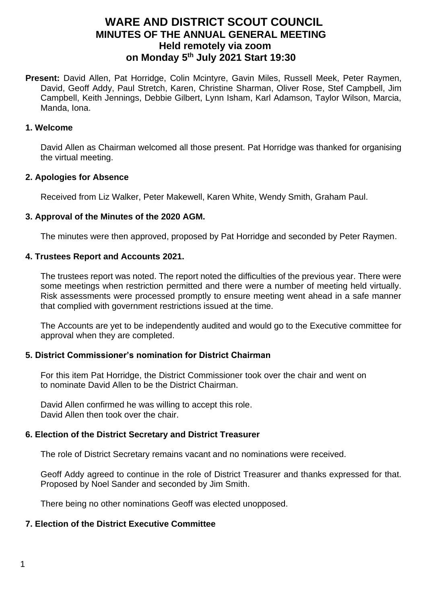# **WARE AND DISTRICT SCOUT COUNCIL MINUTES OF THE ANNUAL GENERAL MEETING Held remotely via zoom on Monday 5 th July 2021 Start 19:30**

Present: David Allen, Pat Horridge, Colin Mcintyre, Gavin Miles, Russell Meek, Peter Raymen, David, Geoff Addy, Paul Stretch, Karen, Christine Sharman, Oliver Rose, Stef Campbell, Jim Campbell, Keith Jennings, Debbie Gilbert, Lynn Isham, Karl Adamson, Taylor Wilson, Marcia, Manda, Iona.

#### **1. Welcome**

David Allen as Chairman welcomed all those present. Pat Horridge was thanked for organising the virtual meeting.

### **2. Apologies for Absence**

Received from Liz Walker, Peter Makewell, Karen White, Wendy Smith, Graham Paul.

### **3. Approval of the Minutes of the 2020 AGM.**

The minutes were then approved, proposed by Pat Horridge and seconded by Peter Raymen.

### **4. Trustees Report and Accounts 2021.**

The trustees report was noted. The report noted the difficulties of the previous year. There were some meetings when restriction permitted and there were a number of meeting held virtually. Risk assessments were processed promptly to ensure meeting went ahead in a safe manner that complied with government restrictions issued at the time.

The Accounts are yet to be independently audited and would go to the Executive committee for approval when they are completed.

## **5. District Commissioner's nomination for District Chairman**

For this item Pat Horridge, the District Commissioner took over the chair and went on to nominate David Allen to be the District Chairman.

David Allen confirmed he was willing to accept this role. David Allen then took over the chair.

## **6. Election of the District Secretary and District Treasurer**

The role of District Secretary remains vacant and no nominations were received.

Geoff Addy agreed to continue in the role of District Treasurer and thanks expressed for that. Proposed by Noel Sander and seconded by Jim Smith.

There being no other nominations Geoff was elected unopposed.

# **7. Election of the District Executive Committee**